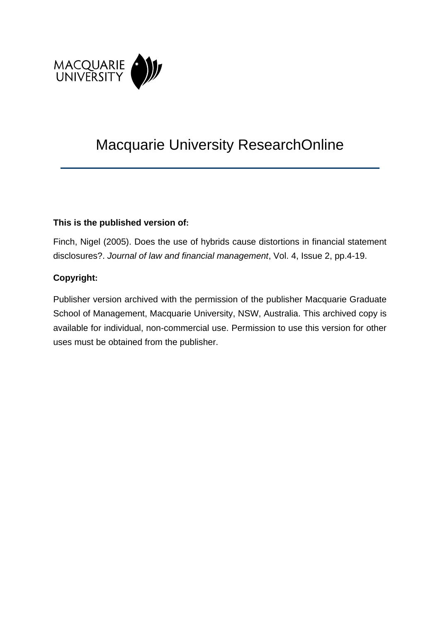

# Macquarie University ResearchOnline

## **This is the published version of:**

Finch, Nigel (2005). Does the use of hybrids cause distortions in financial statement disclosures?. *Journal of law and financial management*, Vol. 4, Issue 2, pp.4-19.

# **Copyright:**

Publisher version archived with the permission of the publisher Macquarie Graduate School of Management, Macquarie University, NSW, Australia. This archived copy is available for individual, non-commercial use. Permission to use this version for other uses must be obtained from the publisher.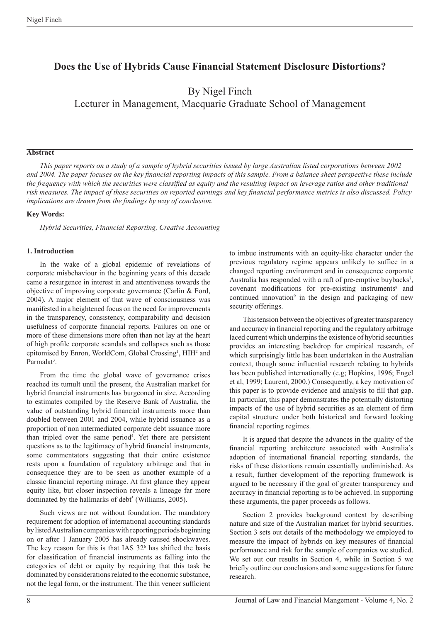# **Does the Use of Hybrids Cause Financial Statement Disclosure Distortions?**

By Nigel Finch Lecturer in Management, Macquarie Graduate School of Management

#### **Abstract**

*This paper reports on a study of a sample of hybrid securities issued by large Australian listed corporations between 2002 and 2004. The paper focuses on the key financial reporting impacts of this sample. From a balance sheet perspective these include the frequency with which the securities were classified as equity and the resulting impact on leverage ratios and other traditional risk measures. The impact of these securities on reported earnings and key financial performance metrics is also discussed. Policy implications are drawn from the findings by way of conclusion.*

#### **Key Words:**

*Hybrid Securities, Financial Reporting, Creative Accounting*

#### **1. Introduction**

In the wake of a global epidemic of revelations of corporate misbehaviour in the beginning years of this decade came a resurgence in interest in and attentiveness towards the objective of improving corporate governance (Carlin & Ford, 2004). A major element of that wave of consciousness was manifested in a heightened focus on the need for improvements in the transparency, consistency, comparability and decision usefulness of corporate financial reports. Failures on one or more of these dimensions more often than not lay at the heart of high profile corporate scandals and collapses such as those epitomised by Enron, WorldCom, Global Crossing<sup>1</sup>, HIH<sup>2</sup> and Parmalat<sup>3</sup>.

From the time the global wave of governance crises reached its tumult until the present, the Australian market for hybrid financial instruments has burgeoned in size. According to estimates compiled by the Reserve Bank of Australia, the value of outstanding hybrid financial instruments more than doubled between 2001 and 2004, while hybrid issuance as a proportion of non intermediated corporate debt issuance more than tripled over the same period<sup>4</sup>. Yet there are persistent questions as to the legitimacy of hybrid financial instruments, some commentators suggesting that their entire existence rests upon a foundation of regulatory arbitrage and that in consequence they are to be seen as another example of a classic financial reporting mirage. At first glance they appear equity like, but closer inspection reveals a lineage far more dominated by the hallmarks of debt<sup>5</sup> (Williams, 2005).

Such views are not without foundation. The mandatory requirement for adoption of international accounting standards by listedAustralian companieswith reporting periods beginning on or after 1 January 2005 has already caused shockwaves. The key reason for this is that IAS 32<sup>6</sup> has shifted the basis for classification of financial instruments as falling into the categories of debt or equity by requiring that this task be dominated by considerations related to the economic substance, not the legal form, or the instrument. The thin veneer sufficient

to imbue instruments with an equity-like character under the previous regulatory regime appears unlikely to suffice in a changed reporting environment and in consequence corporate Australia has responded with a raft of pre-emptive buybacks<sup>7</sup>, covenant modifications for pre-existing instruments<sup>8</sup> and continued innovation<sup>9</sup> in the design and packaging of new security offerings.

This tension between the objectives of greater transparency and accuracy in financial reporting and the regulatory arbitrage laced current which underpins the existence of hybrid securities provides an interesting backdrop for empirical research, of which surprisingly little has been undertaken in the Australian context, though some influential research relating to hybrids has been published internationally (e.g; Hopkins, 1996; Engel et al, 1999; Laurent, 2000.) Consequently, a key motivation of this paper is to provide evidence and analysis to fill that gap. In particular, this paper demonstrates the potentially distorting impacts of the use of hybrid securities as an element of firm capital structure under both historical and forward looking financial reporting regimes.

It is argued that despite the advances in the quality of the financial reporting architecture associated with Australia's adoption of international financial reporting standards, the risks of these distortions remain essentially undiminished. As a result, further development of the reporting framework is argued to be necessary if the goal of greater transparency and accuracy in financial reporting is to be achieved. In supporting these arguments, the paper proceeds as follows.

Section 2 provides background context by describing nature and size of the Australian market for hybrid securities. Section 3 sets out details of the methodology we employed to measure the impact of hybrids on key measures of financial performance and risk for the sample of companies we studied. We set out our results in Section 4, while in Section 5 we briefly outline our conclusions and some suggestions for future research.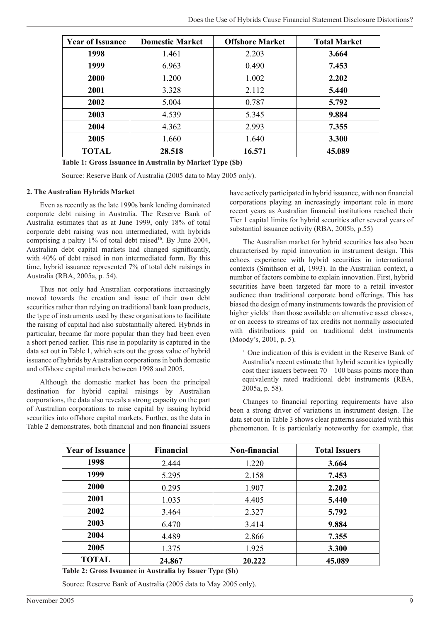| <b>Year of Issuance</b> | <b>Domestic Market</b> | <b>Offshore Market</b> | <b>Total Market</b> |
|-------------------------|------------------------|------------------------|---------------------|
| 1998                    | 1.461                  | 2.203                  | 3.664               |
| 1999                    | 6.963                  | 0.490                  | 7.453               |
| 2000                    | 1.200                  | 1.002                  | 2.202               |
| 2001                    | 3.328                  | 2.112                  | 5.440               |
| 2002                    | 5.004                  | 0.787                  | 5.792               |
| 2003                    | 4.539                  | 5.345                  | 9.884               |
| 2004                    | 4.362                  | 2.993                  | 7.355               |
| 2005                    | 1.660                  | 1.640                  | 3.300               |
| <b>TOTAL</b>            | 28.518                 | 16.571                 | 45.089              |

**Table 1: Gross Issuance in Australia by Market Type (\$b)**

Source: Reserve Bank of Australia (2005 data to May 2005 only).

#### **2. The Australian Hybrids Market**

Even as recently as the late 1990s bank lending dominated corporate debt raising in Australia. The Reserve Bank of Australia estimates that as at June 1999, only 18% of total corporate debt raising was non intermediated, with hybrids comprising a paltry 1% of total debt raised<sup>10</sup>. By June 2004, Australian debt capital markets had changed significantly, with 40% of debt raised in non intermediated form. By this time, hybrid issuance represented 7% of total debt raisings in Australia (RBA, 2005a, p. 54).

Thus not only had Australian corporations increasingly moved towards the creation and issue of their own debt securities rather than relying on traditional bank loan products, the type of instruments used by these organisations to facilitate the raising of capital had also substantially altered. Hybrids in particular, became far more popular than they had been even a short period earlier. This rise in popularity is captured in the data set out in Table 1, which sets out the gross value of hybrid issuance of hybrids by Australian corporations in both domestic and offshore capital markets between 1998 and 2005.

Although the domestic market has been the principal destination for hybrid capital raisings by Australian corporations, the data also reveals a strong capacity on the part of Australian corporations to raise capital by issuing hybrid securities into offshore capital markets. Further, as the data in Table 2 demonstrates, both financial and non financial issuers have actively participated in hybrid issuance, with non financial corporations playing an increasingly important role in more recent years as Australian financial institutions reached their Tier 1 capital limits for hybrid securities after several years of substantial issuance activity (RBA, 2005b, p.55)

The Australian market for hybrid securities has also been characterised by rapid innovation in instrument design. This echoes experience with hybrid securities in international contexts (Smithson et al, 1993). In the Australian context, a number of factors combine to explain innovation. First, hybrid securities have been targeted far more to a retail investor audience than traditional corporate bond offerings. This has biased the design of many instruments towards the provision of higher yields<sup>+</sup> than those available on alternative asset classes, or on access to streams of tax credits not normally associated with distributions paid on traditional debt instruments (Moody's, 2001, p. 5).

*<sup>+</sup>*One indication of this is evident in the Reserve Bank of Australia's recent estimate that hybrid securities typically cost their issuers between  $70 - 100$  basis points more than equivalently rated traditional debt instruments (RBA, 2005a, p. 58).

Changes to financial reporting requirements have also been a strong driver of variations in instrument design. The data set out in Table 3 shows clear patterns associated with this phenomenon. It is particularly noteworthy for example, that

| <b>Year of Issuance</b> | Financial | Non-financial | <b>Total Issuers</b> |
|-------------------------|-----------|---------------|----------------------|
| 1998                    | 2.444     | 1.220         | 3.664                |
| 1999                    | 5.295     | 2.158         | 7.453                |
| <b>2000</b>             | 0.295     | 1.907         | 2.202                |
| 2001                    | 1.035     | 4.405         | 5.440                |
| 2002                    | 3.464     | 2.327         | 5.792                |
| 2003                    | 6.470     | 3.414         | 9.884                |
| 2004                    | 4.489     | 2.866         | 7.355                |
| 2005                    | 1.375     | 1.925         | 3.300                |
| <b>TOTAL</b>            | 24.867    | 20.222        | 45.089               |

**Table 2: Gross Issuance in Australia by Issuer Type (\$b)**

Source: Reserve Bank of Australia (2005 data to May 2005 only).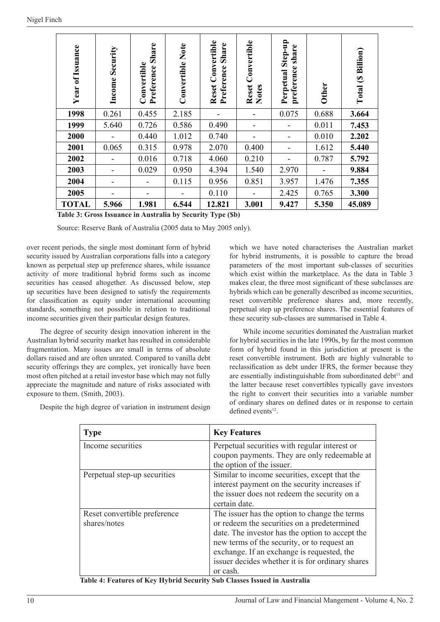| of Issuance<br>Year | Security<br>Income       | Share<br>Convertible<br>Preference | <b>Convertible Note</b> | <b>Reset Convertible</b><br><b>Share</b><br>Preference | Convertible<br>Reset<br><b>Notes</b> | Step-up<br>share<br>preference<br>Perpetual | <b>Other</b> | (\$ Billion)<br>Total |
|---------------------|--------------------------|------------------------------------|-------------------------|--------------------------------------------------------|--------------------------------------|---------------------------------------------|--------------|-----------------------|
| 1998                | 0.261                    | 0.455                              | 2.185                   |                                                        |                                      | 0.075                                       | 0.688        | 3.664                 |
| 1999                | 5.640                    | 0.726                              | 0.586                   | 0.490                                                  |                                      |                                             | 0.011        | 7.453                 |
| 2000                |                          | 0.440                              | 1.012                   | 0.740                                                  |                                      |                                             | 0.010        | 2.202                 |
| 2001                | 0.065                    | 0.315                              | 0.978                   | 2.070                                                  | 0.400                                |                                             | 1.612        | 5.440                 |
| 2002                |                          | 0.016                              | 0.718                   | 4.060                                                  | 0.210                                |                                             | 0.787        | 5.792                 |
| 2003                | $\overline{\phantom{a}}$ | 0.029                              | 0.950                   | 4.394                                                  | 1.540                                | 2.970                                       |              | 9.884                 |
| 2004                |                          |                                    | 0.115                   | 0.956                                                  | 0.851                                | 3.957                                       | 1.476        | 7.355                 |
| 2005                |                          |                                    |                         | 0.110                                                  |                                      | 2.425                                       | 0.765        | 3.300                 |
| <b>TOTAL</b>        | 5.966                    | 1.981                              | 6.544                   | 12.821                                                 | 3.001                                | 9.427                                       | 5.350        | 45.089                |

**Table 3: Gross Issuance in Australia by Security Type (\$b)**

Source: Reserve Bank of Australia (2005 data to May 2005 only).

over recent periods, the single most dominant form of hybrid security issued by Australian corporations falls into a category known as perpetual step up preference shares, while issuance activity of more traditional hybrid forms such as income securities has ceased altogether. As discussed below, step up securities have been designed to satisfy the requirements for classification as equity under international accounting standards, something not possible in relation to traditional income securities given their particular design features.

The degree of security design innovation inherent in the Australian hybrid security market has resulted in considerable fragmentation. Many issues are small in terms of absolute dollars raised and are often unrated. Compared to vanilla debt security offerings they are complex, yet ironically have been most often pitched at a retail investor base which may not fully appreciate the magnitude and nature of risks associated with exposure to them. (Smith, 2003).

Despite the high degree of variation in instrument design

which we have noted characterises the Australian market for hybrid instruments, it is possible to capture the broad parameters of the most important sub-classes of securities which exist within the marketplace. As the data in Table 3 makes clear, the three most significant of these subclasses are hybrids which can be generally described as income securities, reset convertible preference shares and, more recently, perpetual step up preference shares. The essential features of these security sub-classes are summarised in Table 4.

While income securities dominated the Australian market for hybrid securities in the late 1990s, by far the most common form of hybrid found in this jurisdiction at present is the reset convertible instrument. Both are highly vulnerable to reclassification as debt under IFRS, the former because they are essentially indistinguishable from subordinated debt $11$  and the latter because reset convertibles typically gave investors the right to convert their securities into a variable number of ordinary shares on defined dates or in response to certain defined events<sup>12</sup>.

| <b>Type</b>                  | <b>Key Features</b>                              |
|------------------------------|--------------------------------------------------|
| Income securities            | Perpetual securities with regular interest or    |
|                              | coupon payments. They are only redeemable at     |
|                              | the option of the issuer.                        |
| Perpetual step-up securities | Similar to income securities, except that the    |
|                              | interest payment on the security increases if    |
|                              | the issuer does not redeem the security on a     |
|                              | certain date.                                    |
| Reset convertible preference | The issuer has the option to change the terms    |
| shares/notes                 | or redeem the securities on a predetermined      |
|                              | date. The investor has the option to accept the  |
|                              | new terms of the security, or to request an      |
|                              | exchange. If an exchange is requested, the       |
|                              | issuer decides whether it is for ordinary shares |
|                              | or cash.                                         |

**Table 4: Features of Key Hybrid Security Sub Classes Issued in Australia**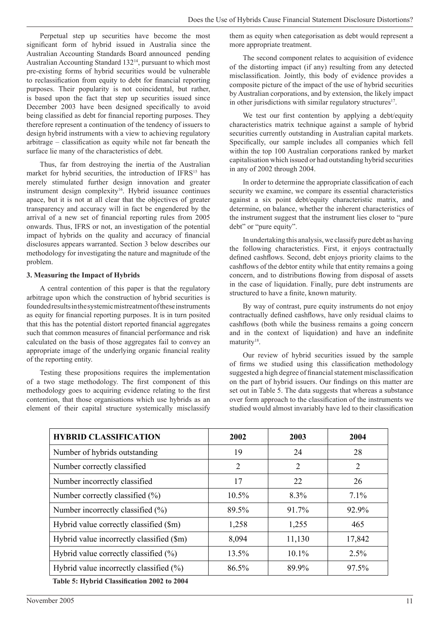Perpetual step up securities have become the most significant form of hybrid issued in Australia since the Australian Accounting Standards Board announced pending Australian Accounting Standard 13214, pursuant to which most pre-existing forms of hybrid securities would be vulnerable to reclassification from equity to debt for financial reporting purposes. Their popularity is not coincidental, but rather, is based upon the fact that step up securities issued since December 2003 have been designed specifically to avoid being classified as debt for financial reporting purposes. They therefore represent a continuation of the tendency of issuers to design hybrid instruments with a view to achieving regulatory arbitrage – classification as equity while not far beneath the surface lie many of the characteristics of debt.

Thus, far from destroying the inertia of the Australian market for hybrid securities, the introduction of IFRS<sup>15</sup> has merely stimulated further design innovation and greater instrument design complexity<sup>16</sup>. Hybrid issuance continues apace, but it is not at all clear that the objectives of greater transparency and accuracy will in fact be engendered by the arrival of a new set of financial reporting rules from 2005 onwards. Thus, IFRS or not, an investigation of the potential impact of hybrids on the quality and accuracy of financial disclosures appears warranted. Section 3 below describes our methodology for investigating the nature and magnitude of the problem.

#### **3. Measuring the Impact of Hybrids**

A central contention of this paper is that the regulatory arbitrage upon which the construction of hybrid securities is foundedresultsinthesystemicmistreatmentoftheseinstruments as equity for financial reporting purposes. It is in turn posited that this has the potential distort reported financial aggregates such that common measures of financial performance and risk calculated on the basis of those aggregates fail to convey an appropriate image of the underlying organic financial reality of the reporting entity.

Testing these propositions requires the implementation of a two stage methodology. The first component of this methodology goes to acquiring evidence relating to the first contention, that those organisations which use hybrids as an element of their capital structure systemically misclassify

them as equity when categorisation as debt would represent a more appropriate treatment.

The second component relates to acquisition of evidence of the distorting impact (if any) resulting from any detected misclassification. Jointly, this body of evidence provides a composite picture of the impact of the use of hybrid securities by Australian corporations, and by extension, the likely impact in other jurisdictions with similar regulatory structures<sup>17</sup>.

We test our first contention by applying a debt/equity characteristics matrix technique against a sample of hybrid securities currently outstanding in Australian capital markets. Specifically, our sample includes all companies which fell within the top 100 Australian corporations ranked by market capitalisation which issued or had outstanding hybrid securities in any of 2002 through 2004.

In order to determine the appropriate classification of each security we examine, we compare its essential characteristics against a six point debt/equity characteristic matrix, and determine, on balance, whether the inherent characteristics of the instrument suggest that the instrument lies closer to "pure debt" or "pure equity".

In undertaking this analysis,we classify pure debt as having the following characteristics. First, it enjoys contractually defined cashflows. Second, debt enjoys priority claims to the cashflows of the debtor entity while that entity remains a going concern, and to distributions flowing from disposal of assets in the case of liquidation. Finally, pure debt instruments are structured to have a finite, known maturity.

By way of contrast, pure equity instruments do not enjoy contractually defined cashflows, have only residual claims to cashflows (both while the business remains a going concern and in the context of liquidation) and have an indefinite maturity<sup>18</sup>.

Our review of hybrid securities issued by the sample of firms we studied using this classification methodology suggested a high degree of financial statement misclassification on the part of hybrid issuers. Our findings on this matter are set out in Table 5. The data suggests that whereas a substance over form approach to the classification of the instruments we studied would almost invariably have led to their classification

| <b>HYBRID CLASSIFICATION</b>                | 2002     | 2003     | 2004   |
|---------------------------------------------|----------|----------|--------|
| Number of hybrids outstanding               | 19       | 24       | 28     |
| Number correctly classified                 | 2        | 2        | 2      |
| Number incorrectly classified               | 17       | 22       | 26     |
| Number correctly classified (%)             | $10.5\%$ | 8.3%     | 7.1%   |
| Number incorrectly classified (%)           | 89.5%    | 91.7%    | 92.9%  |
| Hybrid value correctly classified (\$m)     | 1,258    | 1,255    | 465    |
| Hybrid value incorrectly classified (\$m)   | 8,094    | 11,130   | 17,842 |
| Hybrid value correctly classified $(\% )$   | 13.5%    | $10.1\%$ | 2.5%   |
| Hybrid value incorrectly classified $(\% )$ | 86.5%    | 89.9%    | 97.5%  |
|                                             |          |          |        |

**Table 5: Hybrid Classification 2002 to 2004**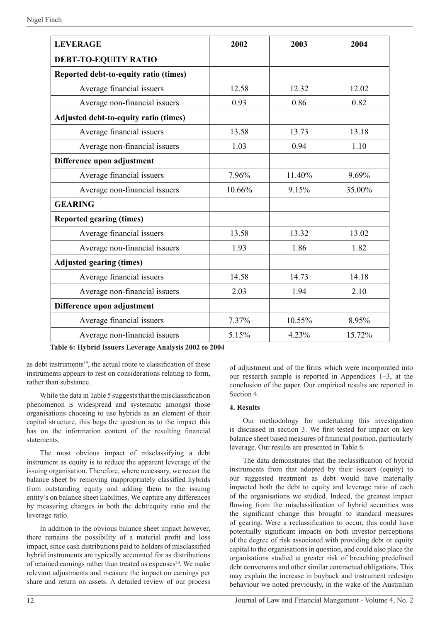| <b>LEVERAGE</b>                       | 2002   | 2003   | 2004   |
|---------------------------------------|--------|--------|--------|
| <b>DEBT-TO-EQUITY RATIO</b>           |        |        |        |
| Reported debt-to-equity ratio (times) |        |        |        |
| Average financial issuers             | 12.58  | 12.32  | 12.02  |
| Average non-financial issuers         | 0.93   | 0.86   | 0.82   |
| Adjusted debt-to-equity ratio (times) |        |        |        |
| Average financial issuers             | 13.58  | 13.73  | 13.18  |
| Average non-financial issuers         | 1.03   | 0.94   | 1.10   |
| Difference upon adjustment            |        |        |        |
| Average financial issuers             | 7.96%  | 11.40% | 9.69%  |
| Average non-financial issuers         | 10.66% | 9.15%  | 35.00% |
| <b>GEARING</b>                        |        |        |        |
| <b>Reported gearing (times)</b>       |        |        |        |
| Average financial issuers             | 13.58  | 13.32  | 13.02  |
| Average non-financial issuers         | 1.93   | 1.86   | 1.82   |
| <b>Adjusted gearing (times)</b>       |        |        |        |
| Average financial issuers             | 14.58  | 14.73  | 14.18  |
| Average non-financial issuers         | 2.03   | 1.94   | 2.10   |
| Difference upon adjustment            |        |        |        |
| Average financial issuers             | 7.37%  | 10.55% | 8.95%  |
| Average non-financial issuers         | 5.15%  | 4.23%  | 15.72% |

**Table 6: Hybrid Issuers Leverage Analysis 2002 to 2004**

as debt instruments<sup>19</sup>, the actual route to classification of these instruments appears to rest on considerations relating to form, rather than substance.

While the data in Table 5 suggests that the misclassification phenomenon is widespread and systematic amongst those organisations choosing to use hybrids as an element of their capital structure, this begs the question as to the impact this has on the information content of the resulting financial statements.

The most obvious impact of misclassifying a debt instrument as equity is to reduce the apparent leverage of the issuing organisation. Therefore, where necessary, we recast the balance sheet by removing inappropriately classified hybrids from outstanding equity and adding them to the issuing entity's on balance sheet liabilities. We capture any differences by measuring changes in both the debt/equity ratio and the leverage ratio.

In addition to the obvious balance sheet impact however, there remains the possibility of a material profit and loss impact, since cash distributions paid to holders of misclassified hybrid instruments are typically accounted for as distributions of retained earnings rather than treated as expenses<sup>20</sup>. We make relevant adjustments and measure the impact on earnings per share and return on assets. A detailed review of our process of adjustment and of the firms which were incorporated into our research sample is reported in Appendices 1–3, at the conclusion of the paper. Our empirical results are reported in Section 4.

#### **4. Results**

Our methodology for undertaking this investigation is discussed in section 3. We first tested for impact on key balance sheet based measures of financial position, particularly leverage. Our results are presented in Table 6.

The data demonstrates that the reclassification of hybrid instruments from that adopted by their issuers (equity) to our suggested treatment as debt would have materially impacted both the debt to equity and leverage ratio of each of the organisations we studied. Indeed, the greatest impact flowing from the misclassification of hybrid securities was the significant change this brought to standard measures of gearing. Were a reclassification to occur, this could have potentially significant impacts on both investor perceptions of the degree of risk associated with providing debt or equity capital to the organisations in question, and could also place the organisations studied at greater risk of breaching predefined debt convenants and other similar contractual obligations. This may explain the increase in buyback and instrument redesign behaviour we noted previously, in the wake of the Australian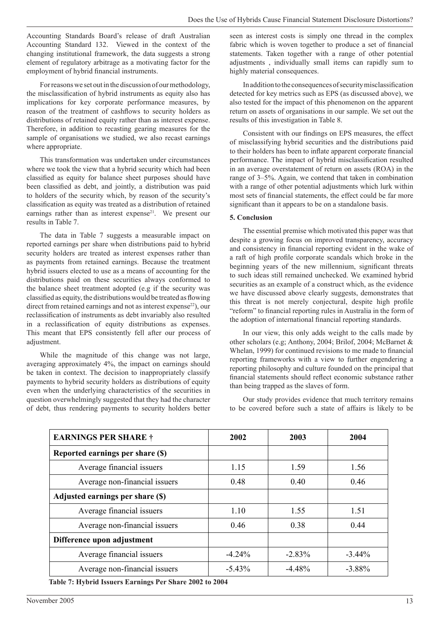Accounting Standards Board's release of draft Australian Accounting Standard 132. Viewed in the context of the changing institutional framework, the data suggests a strong element of regulatory arbitrage as a motivating factor for the employment of hybrid financial instruments.

For reasons we set out in the discussion of our methodology, the misclassification of hybrid instruments as equity also has implications for key corporate performance measures, by reason of the treatment of cashflows to security holders as distributions of retained equity rather than as interest expense. Therefore, in addition to recasting gearing measures for the sample of organisations we studied, we also recast earnings where appropriate.

This transformation was undertaken under circumstances where we took the view that a hybrid security which had been classified as equity for balance sheet purposes should have been classified as debt, and jointly, a distribution was paid to holders of the security which, by reason of the security's classification as equity was treated as a distribution of retained earnings rather than as interest expense<sup>21</sup>. We present our results in Table 7.

The data in Table 7 suggests a measurable impact on reported earnings per share when distributions paid to hybrid security holders are treated as interest expenses rather than as payments from retained earnings. Because the treatment hybrid issuers elected to use as a means of accounting for the distributions paid on these securities always conformed to the balance sheet treatment adopted (e.g if the security was classified as equity, the distributions would be treated as flowing direct from retained earnings and not as interest expense<sup>22</sup>), our reclassification of instruments as debt invariably also resulted in a reclassification of equity distributions as expenses. This meant that EPS consistently fell after our process of adjustment.

While the magnitude of this change was not large, averaging approximately 4%, the impact on earnings should be taken in context. The decision to inappropriately classify payments to hybrid security holders as distributions of equity even when the underlying characteristics of the securities in question overwhelmingly suggested that they had the character of debt, thus rendering payments to security holders better

seen as interest costs is simply one thread in the complex fabric which is woven together to produce a set of financial statements. Taken together with a range of other potential adjustments , individually small items can rapidly sum to highly material consequences.

In addition to the consequences of security misclassification detected for key metrics such as EPS (as discussed above), we also tested for the impact of this phenomenon on the apparent return on assets of organisations in our sample. We set out the results of this investigation in Table 8.

Consistent with our findings on EPS measures, the effect of misclassifying hybrid securities and the distributions paid to their holders has been to inflate apparent corporate financial performance. The impact of hybrid misclassification resulted in an average overstatement of return on assets (ROA) in the range of 3–5%. Again, we contend that taken in combination with a range of other potential adjustments which lurk within most sets of financial statements, the effect could be far more significant than it appears to be on a standalone basis.

#### **5. Conclusion**

The essential premise which motivated this paper was that despite a growing focus on improved transparency, accuracy and consistency in financial reporting evident in the wake of a raft of high profile corporate scandals which broke in the beginning years of the new millennium, significant threats to such ideas still remained unchecked. We examined hybrid securities as an example of a construct which, as the evidence we have discussed above clearly suggests, demonstrates that this threat is not merely conjectural, despite high profile "reform" to financial reporting rules in Australia in the form of the adoption of international financial reporting standards.

In our view, this only adds weight to the calls made by other scholars (e.g; Anthony, 2004; Brilof, 2004; McBarnet & Whelan, 1999) for continued revisions to me made to financial reporting frameworks with a view to further engendering a reporting philosophy and culture founded on the principal that financial statements should reflect economic substance rather than being trapped as the slaves of form.

Our study provides evidence that much territory remains to be covered before such a state of affairs is likely to be

| <b>EARNINGS PER SHARE †</b>      | 2002      | 2003     | 2004      |
|----------------------------------|-----------|----------|-----------|
| Reported earnings per share (\$) |           |          |           |
| Average financial issuers        | 1.15      | 1.59     | 1.56      |
| Average non-financial issuers    | 0.48      | 0.40     | 0.46      |
| Adjusted earnings per share (\$) |           |          |           |
| Average financial issuers        | 1.10      | 1.55     | 1.51      |
| Average non-financial issuers    | 0.46      | 0.38     | 0.44      |
| Difference upon adjustment       |           |          |           |
| Average financial issuers        | $-4.24%$  | $-2.83%$ | $-3.44\%$ |
| Average non-financial issuers    | $-5.43\%$ | $-4.48%$ | $-3.88\%$ |
|                                  |           |          |           |

**Table 7: Hybrid Issuers Earnings Per Share 2002 to 2004**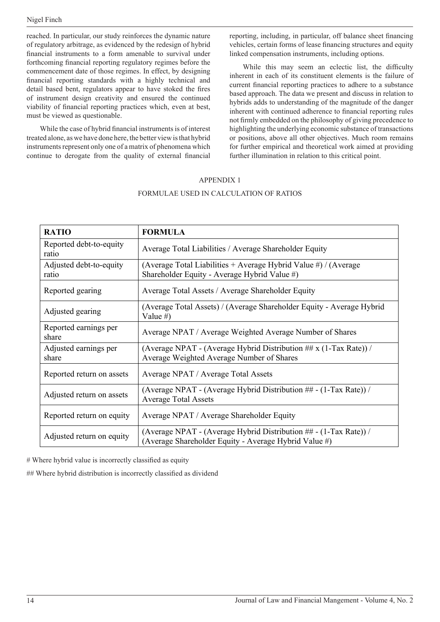reached. In particular, our study reinforces the dynamic nature of regulatory arbitrage, as evidenced by the redesign of hybrid financial instruments to a form amenable to survival under forthcoming financial reporting regulatory regimes before the commencement date of those regimes. In effect, by designing financial reporting standards with a highly technical and detail based bent, regulators appear to have stoked the fires of instrument design creativity and ensured the continued viability of financial reporting practices which, even at best, must be viewed as questionable.

While the case of hybrid financial instruments is of interest treated alone, aswe have done here, the better viewisthat hybrid instruments represent only one of a matrix of phenomena which continue to derogate from the quality of external financial reporting, including, in particular, off balance sheet financing vehicles, certain forms of lease financing structures and equity linked compensation instruments, including options.

While this may seem an eclectic list, the difficulty inherent in each of its constituent elements is the failure of current financial reporting practices to adhere to a substance based approach. The data we present and discuss in relation to hybrids adds to understanding of the magnitude of the danger inherent with continued adherence to financial reporting rules not firmly embedded on the philosophy of giving precedence to highlighting the underlying economic substance of transactions or positions, above all other objectives. Much room remains for further empirical and theoretical work aimed at providing further illumination in relation to this critical point.

## APPENDIX 1 FORMULAE USED IN CALCULATION OF RATIOS

| <b>RATIO</b>                     | <b>FORMULA</b>                                                                                                             |
|----------------------------------|----------------------------------------------------------------------------------------------------------------------------|
| Reported debt-to-equity<br>ratio | Average Total Liabilities / Average Shareholder Equity                                                                     |
| Adjusted debt-to-equity<br>ratio | (Average Total Liabilities + Average Hybrid Value #) / (Average<br>Shareholder Equity - Average Hybrid Value #)            |
| Reported gearing                 | Average Total Assets / Average Shareholder Equity                                                                          |
| Adjusted gearing                 | (Average Total Assets) / (Average Shareholder Equity - Average Hybrid<br>Value # $)$                                       |
| Reported earnings per<br>share   | Average NPAT / Average Weighted Average Number of Shares                                                                   |
| Adjusted earnings per<br>share   | (Average NPAT - (Average Hybrid Distribution ## $x$ (1-Tax Rate)) /<br>Average Weighted Average Number of Shares           |
| Reported return on assets        | Average NPAT / Average Total Assets                                                                                        |
| Adjusted return on assets        | (Average NPAT - (Average Hybrid Distribution ## - (1-Tax Rate)) /<br><b>Average Total Assets</b>                           |
| Reported return on equity        | Average NPAT / Average Shareholder Equity                                                                                  |
| Adjusted return on equity        | (Average NPAT - (Average Hybrid Distribution ## - (1-Tax Rate)) /<br>(Average Shareholder Equity - Average Hybrid Value #) |

# Where hybrid value is incorrectly classified as equity

## Where hybrid distribution is incorrectly classified as dividend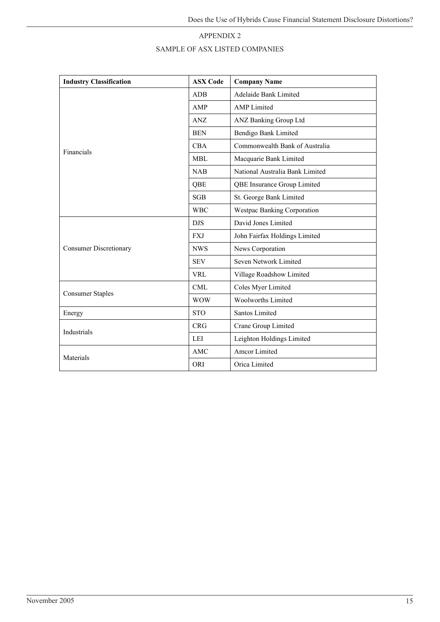## APPENDIX 2 SAMPLE OF ASX LISTED COMPANIES

| <b>Industry Classification</b> | <b>ASX Code</b> | <b>Company Name</b>             |
|--------------------------------|-----------------|---------------------------------|
|                                | <b>ADB</b>      | Adelaide Bank Limited           |
|                                | AMP             | <b>AMP</b> Limited              |
|                                | ANZ             | ANZ Banking Group Ltd           |
|                                | <b>BEN</b>      | Bendigo Bank Limited            |
| Financials                     | <b>CBA</b>      | Commonwealth Bank of Australia  |
|                                | MBL             | Macquarie Bank Limited          |
|                                | <b>NAB</b>      | National Australia Bank Limited |
|                                | QBE             | QBE Insurance Group Limited     |
|                                | SGB             | St. George Bank Limited         |
|                                | <b>WBC</b>      | Westpac Banking Corporation     |
|                                | <b>DJS</b>      | David Jones Limited             |
|                                | <b>FXJ</b>      | John Fairfax Holdings Limited   |
| <b>Consumer Discretionary</b>  | <b>NWS</b>      | News Corporation                |
|                                | <b>SEV</b>      | Seven Network Limited           |
|                                | VRL             | Village Roadshow Limited        |
| <b>Consumer Staples</b>        | <b>CML</b>      | Coles Myer Limited              |
|                                | <b>WOW</b>      | <b>Woolworths Limited</b>       |
| Energy                         | <b>STO</b>      | Santos Limited                  |
| Industrials                    | <b>CRG</b>      | Crane Group Limited             |
|                                | LEI             | Leighton Holdings Limited       |
| Materials                      | AMC             | Amcor Limited                   |
|                                | ORI             | Orica Limited                   |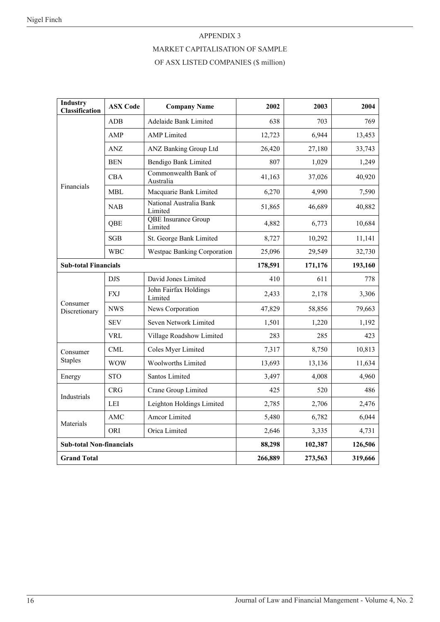#### APPENDIX 3

## MARKET CAPITALISATION OF SAMPLE

### OF ASX LISTED COMPANIES (\$ million)

| <b>Industry</b><br><b>Classification</b> | <b>ASX Code</b> | <b>Company Name</b>                | 2002    | 2003    | 2004   |
|------------------------------------------|-----------------|------------------------------------|---------|---------|--------|
|                                          | ADB             | <b>Adelaide Bank Limited</b>       | 638     | 703     | 769    |
|                                          | AMP             | <b>AMP</b> Limited                 | 12,723  | 6,944   | 13,453 |
|                                          | ANZ             | ANZ Banking Group Ltd              | 26,420  | 27,180  | 33,743 |
|                                          | BEN             | Bendigo Bank Limited               | 807     | 1,029   | 1,249  |
| Financials                               | <b>CBA</b>      | Commonwealth Bank of<br>Australia  | 41,163  | 37,026  | 40,920 |
|                                          | <b>MBL</b>      | Macquarie Bank Limited             | 6,270   | 4,990   | 7,590  |
|                                          | <b>NAB</b>      | National Australia Bank<br>Limited | 51,865  | 46,689  | 40,882 |
|                                          | QBE             | QBE Insurance Group<br>Limited     | 4,882   | 6,773   | 10,684 |
|                                          | <b>SGB</b>      | St. George Bank Limited            | 8,727   | 10,292  | 11,141 |
| <b>WBC</b>                               |                 | <b>Westpac Banking Corporation</b> | 25,096  | 29,549  | 32,730 |
| <b>Sub-total Financials</b>              |                 | 178,591                            | 171,176 | 193,160 |        |
|                                          | <b>DJS</b>      | David Jones Limited                | 410     | 611     | 778    |
| Consumer                                 | <b>FXJ</b>      | John Fairfax Holdings<br>Limited   | 2,433   | 2,178   | 3,306  |
| Discretionary                            | <b>NWS</b>      | News Corporation                   | 47,829  | 58,856  | 79,663 |
|                                          | <b>SEV</b>      | Seven Network Limited              | 1,501   | 1,220   | 1,192  |
| VRL                                      |                 | Village Roadshow Limited           | 283     | 285     | 423    |
| Consumer                                 | <b>CML</b>      | Coles Myer Limited                 | 7,317   | 8,750   | 10,813 |
| <b>Staples</b>                           | <b>WOW</b>      | Woolworths Limited                 | 13,693  | 13,136  | 11,634 |
| Energy                                   | <b>STO</b>      | Santos Limited                     | 3,497   | 4,008   | 4,960  |
|                                          | <b>CRG</b>      | Crane Group Limited                | 425     | 520     | 486    |
| Industrials<br>LEI                       |                 | Leighton Holdings Limited          | 2,785   | 2,706   | 2,476  |
| Materials                                | <b>AMC</b>      | Amcor Limited                      | 5,480   | 6,782   | 6,044  |
|                                          | ORI             | Orica Limited                      | 2,646   | 3,335   | 4,731  |
| <b>Sub-total Non-financials</b>          |                 | 88,298                             | 102,387 | 126,506 |        |
| <b>Grand Total</b>                       |                 | 266,889                            | 273,563 | 319,666 |        |